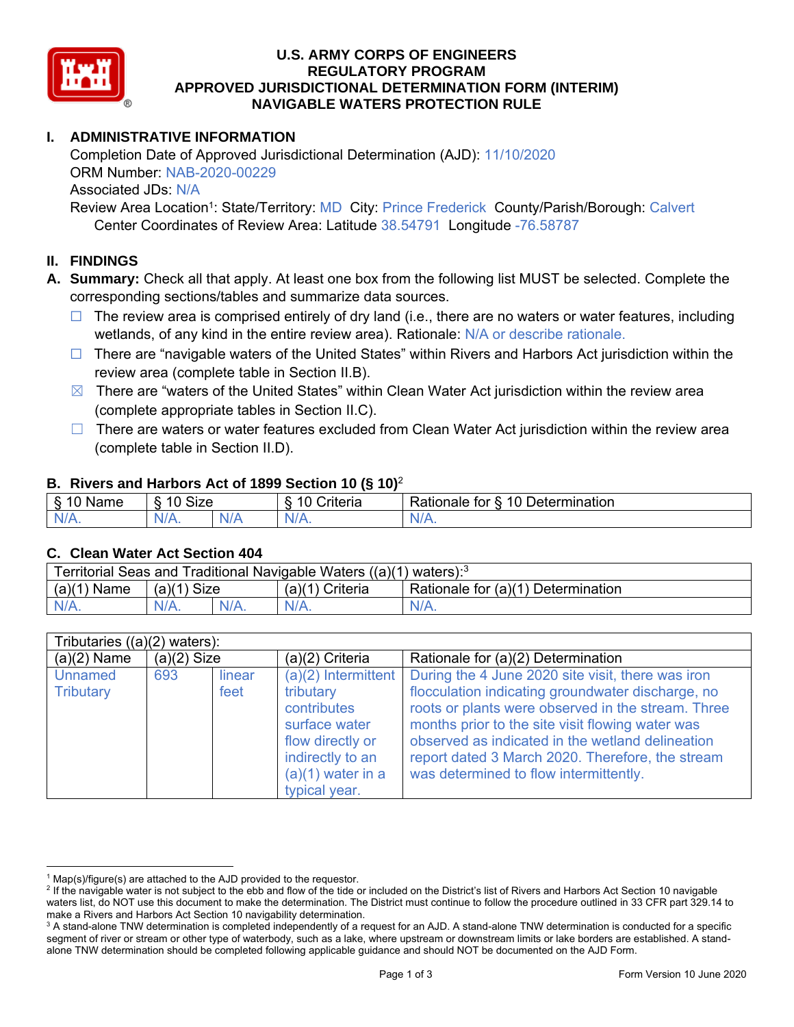

#### **U.S. ARMY CORPS OF ENGINEERS REGULATORY PROGRAM APPROVED JURISDICTIONAL DETERMINATION FORM (INTERIM) NAVIGABLE WATERS PROTECTION RULE**

# **I. ADMINISTRATIVE INFORMATION**

Completion Date of Approved Jurisdictional Determination (AJD): 11/10/2020 ORM Number: NAB-2020-00229 Associated JDs: N/A

Review Area Location<sup>1</sup>: State/Territory: MD City: Prince Frederick County/Parish/Borough: Calvert Center Coordinates of Review Area: Latitude 38.54791 Longitude -76.58787

# **II. FINDINGS**

**A. Summary:** Check all that apply. At least one box from the following list MUST be selected. Complete the corresponding sections/tables and summarize data sources.

- $\Box$  The review area is comprised entirely of dry land (i.e., there are no waters or water features, including wetlands, of any kind in the entire review area). Rationale: N/A or describe rationale.
- $\Box$  There are "navigable waters of the United States" within Rivers and Harbors Act jurisdiction within the review area (complete table in Section II.B).
- $\boxtimes$  There are "waters of the United States" within Clean Water Act jurisdiction within the review area (complete appropriate tables in Section II.C).
- $\Box$  There are waters or water features excluded from Clean Water Act jurisdiction within the review area (complete table in Section II.D).

#### **B. Rivers and Harbors Act of 1899 Section 10 (§ 10)**<sup>2</sup>

| <sub>S</sub><br>$\sim$<br>Name<br>v | Size<br>10<br>c |     | . .<br>`riteria<br>՝ Լե | 10<br>-<br>-<br>)etermination<br>⊀atıonale<br>tor |
|-------------------------------------|-----------------|-----|-------------------------|---------------------------------------------------|
| N/A.                                | $N$ /<br>.      | NIA | $N/A$ .                 | IN.<br>VLO.                                       |

#### **C. Clean Water Act Section 404**

| Territorial Seas and Traditional Navigable Waters $((a)(1)$ waters): <sup>3</sup> |                |  |                   |                                    |  |
|-----------------------------------------------------------------------------------|----------------|--|-------------------|------------------------------------|--|
| (a)(1)<br>Name                                                                    | (a)(1)<br>Size |  | $(a)(1)$ Criteria | Rationale for (a)(1) Determination |  |
|                                                                                   | $N/A$ .        |  | $N/A$ .           | $N/A$ .                            |  |

| Tributaries $((a)(2)$ waters): |               |        |                       |                                                    |  |  |
|--------------------------------|---------------|--------|-----------------------|----------------------------------------------------|--|--|
| $(a)(2)$ Name                  | $(a)(2)$ Size |        | $(a)(2)$ Criteria     | Rationale for (a)(2) Determination                 |  |  |
| <b>Unnamed</b>                 | 693           | linear | $(a)(2)$ Intermittent | During the 4 June 2020 site visit, there was iron  |  |  |
| Tributary                      |               | feet   | tributary             | flocculation indicating groundwater discharge, no  |  |  |
|                                |               |        | contributes           | roots or plants were observed in the stream. Three |  |  |
|                                |               |        | surface water         | months prior to the site visit flowing water was   |  |  |
|                                |               |        | flow directly or      | observed as indicated in the wetland delineation   |  |  |
|                                |               |        | indirectly to an      | report dated 3 March 2020. Therefore, the stream   |  |  |
|                                |               |        | $(a)(1)$ water in a   | was determined to flow intermittently.             |  |  |
|                                |               |        | typical year.         |                                                    |  |  |

 $1$  Map(s)/figure(s) are attached to the AJD provided to the requestor.

 $^2$  If the navigable water is not subject to the ebb and flow of the tide or included on the District's list of Rivers and Harbors Act Section 10 navigable waters list, do NOT use this document to make the determination. The District must continue to follow the procedure outlined in 33 CFR part 329.14 to make a Rivers and Harbors Act Section 10 navigability determination.

 $^3$  A stand-alone TNW determination is completed independently of a request for an AJD. A stand-alone TNW determination is conducted for a specific segment of river or stream or other type of waterbody, such as a lake, where upstream or downstream limits or lake borders are established. A standalone TNW determination should be completed following applicable guidance and should NOT be documented on the AJD Form.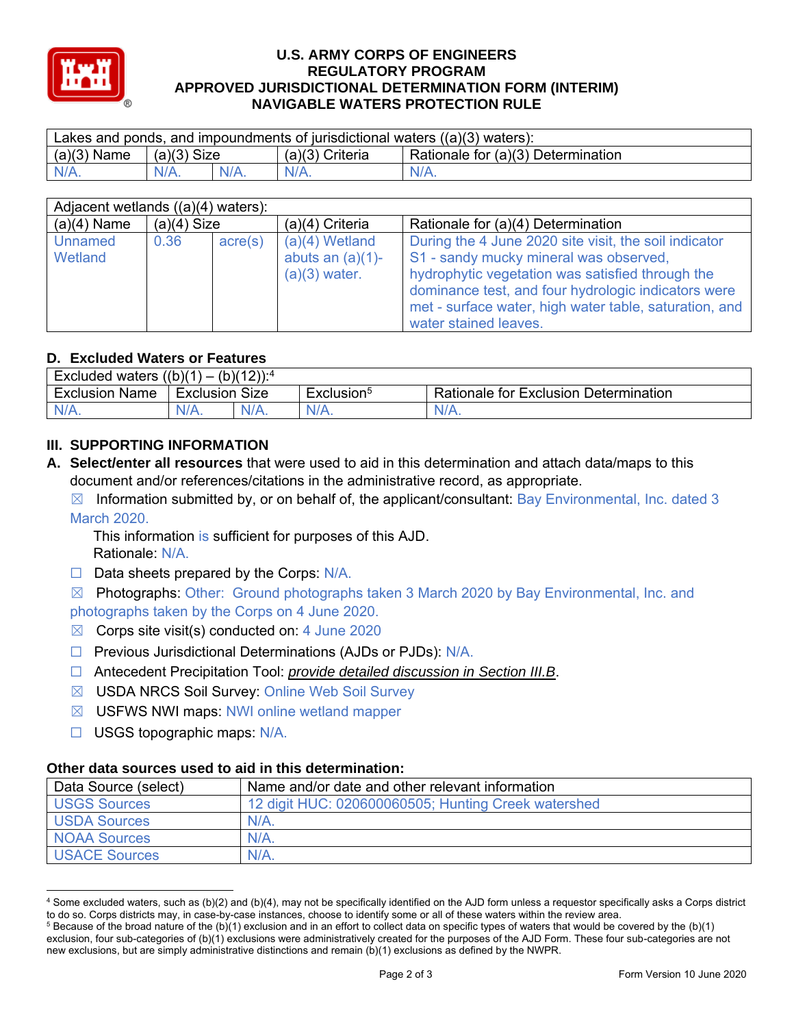

#### **U.S. ARMY CORPS OF ENGINEERS REGULATORY PROGRAM APPROVED JURISDICTIONAL DETERMINATION FORM (INTERIM) NAVIGABLE WATERS PROTECTION RULE**

| Lakes and ponds, and impoundments of jurisdictional waters $((a)(3)$ waters): |               |  |                 |                                    |  |
|-------------------------------------------------------------------------------|---------------|--|-----------------|------------------------------------|--|
| $(a)(3)$ Name                                                                 | $(a)(3)$ Size |  | (a)(3) Criteria | Rationale for (a)(3) Determination |  |
| $N/A$ .                                                                       |               |  | $N/A$ .         | $N/A$ .                            |  |

| Adjacent wetlands $((a)(4)$ waters): |               |                  |                                                            |                                                                                                                                                                                                                                                                      |  |  |
|--------------------------------------|---------------|------------------|------------------------------------------------------------|----------------------------------------------------------------------------------------------------------------------------------------------------------------------------------------------------------------------------------------------------------------------|--|--|
| $(a)(4)$ Name                        | $(a)(4)$ Size |                  | $(a)(4)$ Criteria                                          | Rationale for (a)(4) Determination                                                                                                                                                                                                                                   |  |  |
| Unnamed<br>Wetland                   | 0.36          | $\text{acre}(s)$ | $(a)(4)$ Wetland<br>abuts an $(a)(1)$ -<br>$(a)(3)$ water. | During the 4 June 2020 site visit, the soil indicator<br>S1 - sandy mucky mineral was observed,<br>hydrophytic vegetation was satisfied through the<br>dominance test, and four hydrologic indicators were<br>met - surface water, high water table, saturation, and |  |  |
|                                      |               |                  |                                                            | water stained leaves.                                                                                                                                                                                                                                                |  |  |

# **D. Excluded Waters or Features**

| Excluded waters $((b)(1))$<br>$(b)(12))$ : <sup>4</sup><br>` — |           |         |                        |                                              |  |  |
|----------------------------------------------------------------|-----------|---------|------------------------|----------------------------------------------|--|--|
| <b>Exclusion Name</b>                                          | Exclusion | Size    | Exclusion <sup>5</sup> | <b>Rationale for Exclusion Determination</b> |  |  |
| $N/A$ .                                                        | N/A.      | $N/A$ . | $N/A$ .                | $N/A$ .                                      |  |  |

# **III. SUPPORTING INFORMATION**

- **A. Select/enter all resources** that were used to aid in this determination and attach data/maps to this document and/or references/citations in the administrative record, as appropriate.
	- $\boxtimes$  Information submitted by, or on behalf of, the applicant/consultant: Bay Environmental, Inc. dated 3 March 2020.

This information is sufficient for purposes of this AJD. Rationale: N/A.

- $\Box$  Data sheets prepared by the Corps: N/A.
- $\boxtimes$  Photographs: Other: Ground photographs taken 3 March 2020 by Bay Environmental, Inc. and photographs taken by the Corps on 4 June 2020.
- $\boxtimes$  Corps site visit(s) conducted on: 4 June 2020
- □ Previous Jurisdictional Determinations (AJDs or PJDs): N/A.
- ☐ Antecedent Precipitation Tool: *provide detailed discussion in Section III.B*.
- ☒ USDA NRCS Soil Survey: Online Web Soil Survey
- $\boxtimes$  USFWS NWI maps: NWI online wetland mapper
- $\Box$  USGS topographic maps: N/A.

### **Other data sources used to aid in this determination:**

| Data Source (select) | Name and/or date and other relevant information     |
|----------------------|-----------------------------------------------------|
| <b>USGS Sources</b>  | 12 digit HUC: 020600060505; Hunting Creek watershed |
| <b>USDA Sources</b>  | $N/A$ .                                             |
| <b>NOAA Sources</b>  | $N/A$ .                                             |
| <b>USACE Sources</b> | $N/A$ .                                             |

 $\overline{a}$ 4 Some excluded waters, such as (b)(2) and (b)(4), may not be specifically identified on the AJD form unless a requestor specifically asks a Corps district to do so. Corps districts may, in case-by-case instances, choose to identify some or all of these waters within the review area.

 $^5$  Because of the broad nature of the (b)(1) exclusion and in an effort to collect data on specific types of waters that would be covered by the (b)(1) exclusion, four sub-categories of (b)(1) exclusions were administratively created for the purposes of the AJD Form. These four sub-categories are not new exclusions, but are simply administrative distinctions and remain (b)(1) exclusions as defined by the NWPR.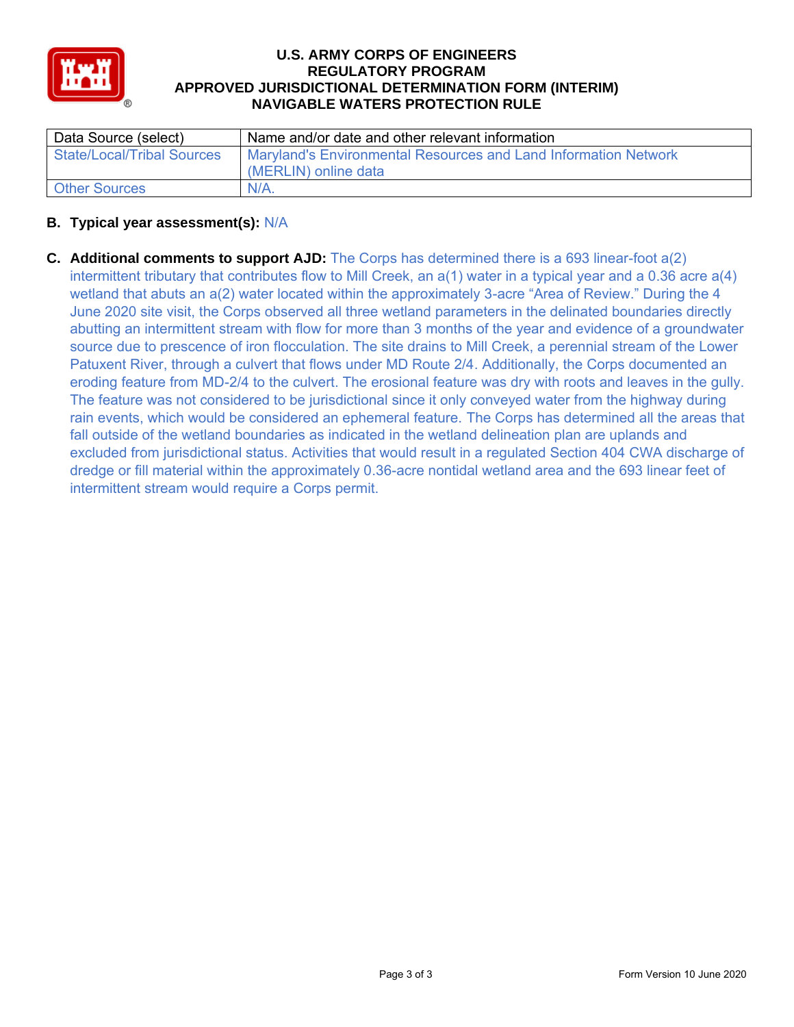

### **U.S. ARMY CORPS OF ENGINEERS REGULATORY PROGRAM APPROVED JURISDICTIONAL DETERMINATION FORM (INTERIM) NAVIGABLE WATERS PROTECTION RULE**

| Data Source (select)              | Name and/or date and other relevant information                 |
|-----------------------------------|-----------------------------------------------------------------|
| <b>State/Local/Tribal Sources</b> | Maryland's Environmental Resources and Land Information Network |
|                                   | (MERLIN) online data                                            |
| <b>Other Sources</b>              | $N/A$ .                                                         |

### **B. Typical year assessment(s):** N/A

**C. Additional comments to support AJD:** The Corps has determined there is a 693 linear-foot a(2) intermittent tributary that contributes flow to Mill Creek, an a(1) water in a typical year and a 0.36 acre a(4) wetland that abuts an a(2) water located within the approximately 3-acre "Area of Review." During the 4 June 2020 site visit, the Corps observed all three wetland parameters in the delinated boundaries directly abutting an intermittent stream with flow for more than 3 months of the year and evidence of a groundwater source due to prescence of iron flocculation. The site drains to Mill Creek, a perennial stream of the Lower Patuxent River, through a culvert that flows under MD Route 2/4. Additionally, the Corps documented an eroding feature from MD-2/4 to the culvert. The erosional feature was dry with roots and leaves in the gully. The feature was not considered to be jurisdictional since it only conveyed water from the highway during rain events, which would be considered an ephemeral feature. The Corps has determined all the areas that fall outside of the wetland boundaries as indicated in the wetland delineation plan are uplands and excluded from jurisdictional status. Activities that would result in a regulated Section 404 CWA discharge of dredge or fill material within the approximately 0.36-acre nontidal wetland area and the 693 linear feet of intermittent stream would require a Corps permit.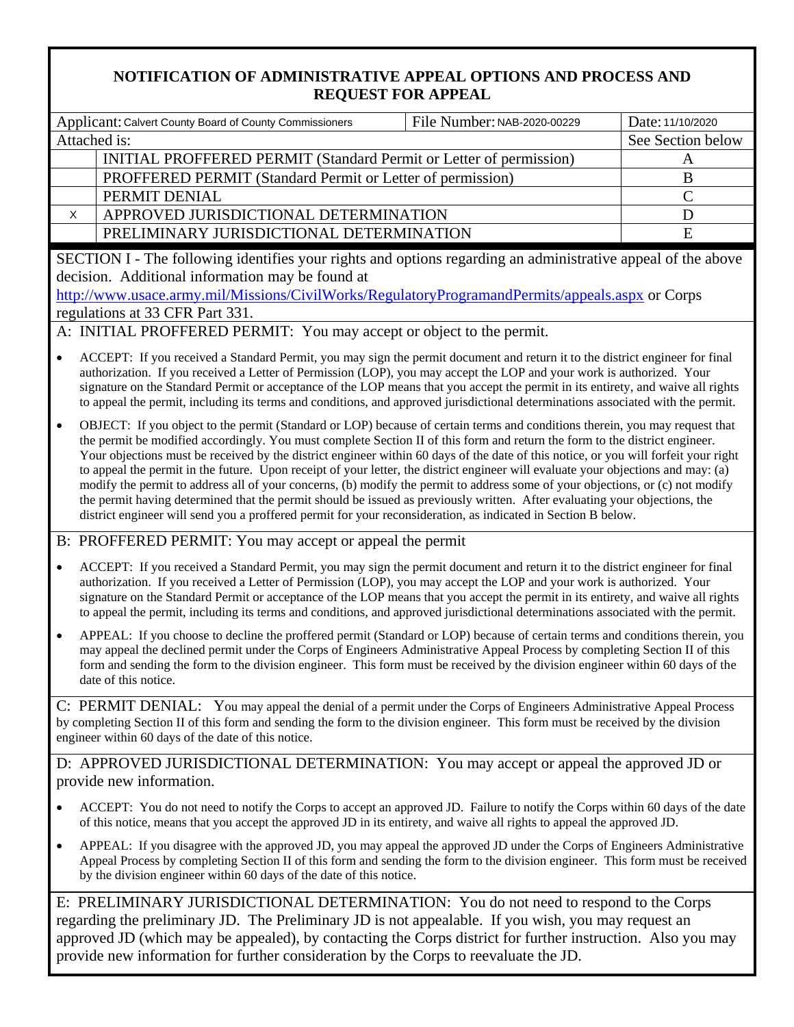# **NOTIFICATION OF ADMINISTRATIVE APPEAL OPTIONS AND PROCESS AND REQUEST FOR APPEAL**

| Applicant: Calvert County Board of County Commissioners                                                                                                                                                                                                                                                                                                                                                                                                                                                                                                                                                                                                                                                                                                                                                                                                                                                                              | File Number: NAB-2020-00229                                                                                                                                                                                                                                                                                                                                                                                                                                                                                                   | Date: 11/10/2020<br>See Section below |  |  |  |  |
|--------------------------------------------------------------------------------------------------------------------------------------------------------------------------------------------------------------------------------------------------------------------------------------------------------------------------------------------------------------------------------------------------------------------------------------------------------------------------------------------------------------------------------------------------------------------------------------------------------------------------------------------------------------------------------------------------------------------------------------------------------------------------------------------------------------------------------------------------------------------------------------------------------------------------------------|-------------------------------------------------------------------------------------------------------------------------------------------------------------------------------------------------------------------------------------------------------------------------------------------------------------------------------------------------------------------------------------------------------------------------------------------------------------------------------------------------------------------------------|---------------------------------------|--|--|--|--|
| Attached is:                                                                                                                                                                                                                                                                                                                                                                                                                                                                                                                                                                                                                                                                                                                                                                                                                                                                                                                         |                                                                                                                                                                                                                                                                                                                                                                                                                                                                                                                               |                                       |  |  |  |  |
|                                                                                                                                                                                                                                                                                                                                                                                                                                                                                                                                                                                                                                                                                                                                                                                                                                                                                                                                      | INITIAL PROFFERED PERMIT (Standard Permit or Letter of permission)                                                                                                                                                                                                                                                                                                                                                                                                                                                            |                                       |  |  |  |  |
| PROFFERED PERMIT (Standard Permit or Letter of permission)                                                                                                                                                                                                                                                                                                                                                                                                                                                                                                                                                                                                                                                                                                                                                                                                                                                                           |                                                                                                                                                                                                                                                                                                                                                                                                                                                                                                                               | $\mathbf B$                           |  |  |  |  |
| PERMIT DENIAL                                                                                                                                                                                                                                                                                                                                                                                                                                                                                                                                                                                                                                                                                                                                                                                                                                                                                                                        |                                                                                                                                                                                                                                                                                                                                                                                                                                                                                                                               | $\mathcal{C}$                         |  |  |  |  |
| APPROVED JURISDICTIONAL DETERMINATION<br>X                                                                                                                                                                                                                                                                                                                                                                                                                                                                                                                                                                                                                                                                                                                                                                                                                                                                                           |                                                                                                                                                                                                                                                                                                                                                                                                                                                                                                                               | D                                     |  |  |  |  |
| PRELIMINARY JURISDICTIONAL DETERMINATION                                                                                                                                                                                                                                                                                                                                                                                                                                                                                                                                                                                                                                                                                                                                                                                                                                                                                             |                                                                                                                                                                                                                                                                                                                                                                                                                                                                                                                               | E                                     |  |  |  |  |
| SECTION I - The following identifies your rights and options regarding an administrative appeal of the above<br>decision. Additional information may be found at<br>http://www.usace.army.mil/Missions/CivilWorks/RegulatoryProgramandPermits/appeals.aspx or Corps<br>regulations at 33 CFR Part 331.                                                                                                                                                                                                                                                                                                                                                                                                                                                                                                                                                                                                                               |                                                                                                                                                                                                                                                                                                                                                                                                                                                                                                                               |                                       |  |  |  |  |
| A: INITIAL PROFFERED PERMIT: You may accept or object to the permit.                                                                                                                                                                                                                                                                                                                                                                                                                                                                                                                                                                                                                                                                                                                                                                                                                                                                 |                                                                                                                                                                                                                                                                                                                                                                                                                                                                                                                               |                                       |  |  |  |  |
| ACCEPT: If you received a Standard Permit, you may sign the permit document and return it to the district engineer for final<br>$\bullet$<br>authorization. If you received a Letter of Permission (LOP), you may accept the LOP and your work is authorized. Your<br>signature on the Standard Permit or acceptance of the LOP means that you accept the permit in its entirety, and waive all rights<br>to appeal the permit, including its terms and conditions, and approved jurisdictional determinations associated with the permit.                                                                                                                                                                                                                                                                                                                                                                                           |                                                                                                                                                                                                                                                                                                                                                                                                                                                                                                                               |                                       |  |  |  |  |
| OBJECT: If you object to the permit (Standard or LOP) because of certain terms and conditions therein, you may request that<br>$\bullet$<br>the permit be modified accordingly. You must complete Section II of this form and return the form to the district engineer.<br>Your objections must be received by the district engineer within 60 days of the date of this notice, or you will forfeit your right<br>to appeal the permit in the future. Upon receipt of your letter, the district engineer will evaluate your objections and may: (a)<br>modify the permit to address all of your concerns, (b) modify the permit to address some of your objections, or (c) not modify<br>the permit having determined that the permit should be issued as previously written. After evaluating your objections, the<br>district engineer will send you a proffered permit for your reconsideration, as indicated in Section B below. |                                                                                                                                                                                                                                                                                                                                                                                                                                                                                                                               |                                       |  |  |  |  |
| B: PROFFERED PERMIT: You may accept or appeal the permit                                                                                                                                                                                                                                                                                                                                                                                                                                                                                                                                                                                                                                                                                                                                                                                                                                                                             |                                                                                                                                                                                                                                                                                                                                                                                                                                                                                                                               |                                       |  |  |  |  |
| $\bullet$                                                                                                                                                                                                                                                                                                                                                                                                                                                                                                                                                                                                                                                                                                                                                                                                                                                                                                                            | ACCEPT: If you received a Standard Permit, you may sign the permit document and return it to the district engineer for final<br>authorization. If you received a Letter of Permission (LOP), you may accept the LOP and your work is authorized. Your<br>signature on the Standard Permit or acceptance of the LOP means that you accept the permit in its entirety, and waive all rights<br>to appeal the permit, including its terms and conditions, and approved jurisdictional determinations associated with the permit. |                                       |  |  |  |  |
| APPEAL: If you choose to decline the proffered permit (Standard or LOP) because of certain terms and conditions therein, you<br>$\bullet$<br>may appeal the declined permit under the Corps of Engineers Administrative Appeal Process by completing Section II of this<br>form and sending the form to the division engineer. This form must be received by the division engineer within 60 days of the<br>date of this notice.                                                                                                                                                                                                                                                                                                                                                                                                                                                                                                     |                                                                                                                                                                                                                                                                                                                                                                                                                                                                                                                               |                                       |  |  |  |  |
| C: PERMIT DENIAL: You may appeal the denial of a permit under the Corps of Engineers Administrative Appeal Process<br>by completing Section II of this form and sending the form to the division engineer. This form must be received by the division<br>engineer within 60 days of the date of this notice.                                                                                                                                                                                                                                                                                                                                                                                                                                                                                                                                                                                                                         |                                                                                                                                                                                                                                                                                                                                                                                                                                                                                                                               |                                       |  |  |  |  |
| D: APPROVED JURISDICTIONAL DETERMINATION: You may accept or appeal the approved JD or                                                                                                                                                                                                                                                                                                                                                                                                                                                                                                                                                                                                                                                                                                                                                                                                                                                |                                                                                                                                                                                                                                                                                                                                                                                                                                                                                                                               |                                       |  |  |  |  |
| provide new information.                                                                                                                                                                                                                                                                                                                                                                                                                                                                                                                                                                                                                                                                                                                                                                                                                                                                                                             |                                                                                                                                                                                                                                                                                                                                                                                                                                                                                                                               |                                       |  |  |  |  |
| ACCEPT: You do not need to notify the Corps to accept an approved JD. Failure to notify the Corps within 60 days of the date<br>of this notice, means that you accept the approved JD in its entirety, and waive all rights to appeal the approved JD.                                                                                                                                                                                                                                                                                                                                                                                                                                                                                                                                                                                                                                                                               |                                                                                                                                                                                                                                                                                                                                                                                                                                                                                                                               |                                       |  |  |  |  |
| APPEAL: If you disagree with the approved JD, you may appeal the approved JD under the Corps of Engineers Administrative<br>$\bullet$<br>Appeal Process by completing Section II of this form and sending the form to the division engineer. This form must be received<br>by the division engineer within 60 days of the date of this notice.                                                                                                                                                                                                                                                                                                                                                                                                                                                                                                                                                                                       |                                                                                                                                                                                                                                                                                                                                                                                                                                                                                                                               |                                       |  |  |  |  |
| E: PRELIMINARY JURISDICTIONAL DETERMINATION: You do not need to respond to the Corps                                                                                                                                                                                                                                                                                                                                                                                                                                                                                                                                                                                                                                                                                                                                                                                                                                                 |                                                                                                                                                                                                                                                                                                                                                                                                                                                                                                                               |                                       |  |  |  |  |
| the nuclingnam ID. The Ducliningny ID is not enugately If you wish                                                                                                                                                                                                                                                                                                                                                                                                                                                                                                                                                                                                                                                                                                                                                                                                                                                                   |                                                                                                                                                                                                                                                                                                                                                                                                                                                                                                                               |                                       |  |  |  |  |

regarding the preliminary JD. The Preliminary JD is not appealable. If you wish, you may request an approved JD (which may be appealed), by contacting the Corps district for further instruction. Also you may provide new information for further consideration by the Corps to reevaluate the JD.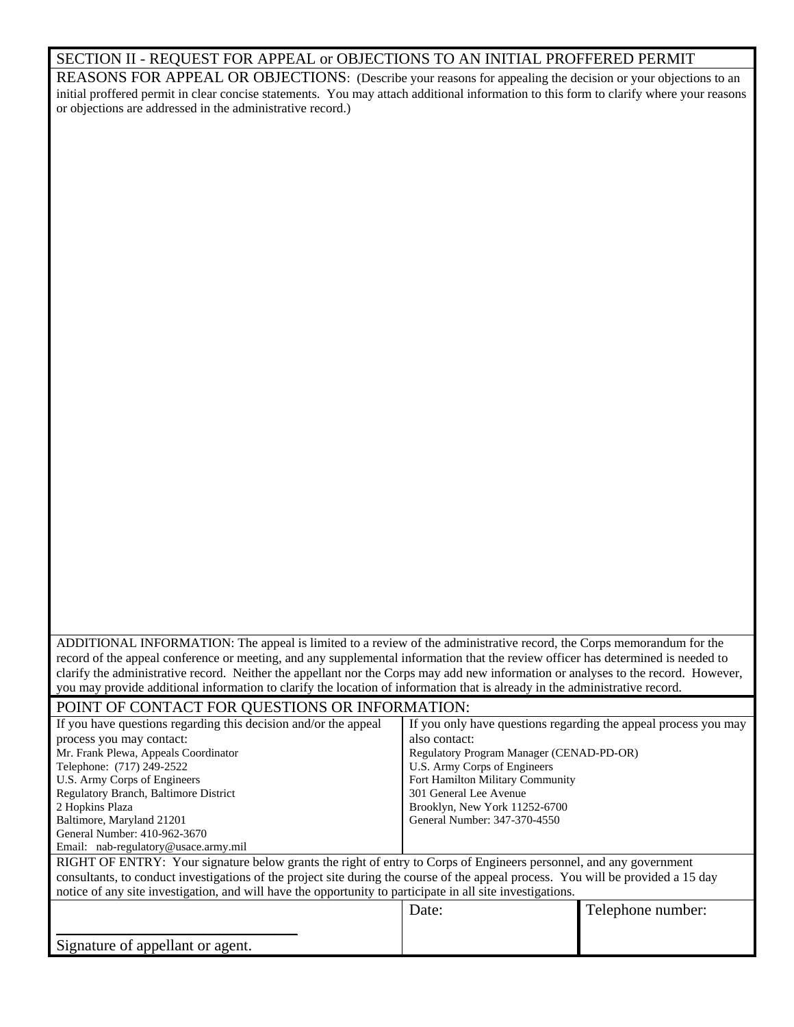|  | SECTION II - REQUEST FOR APPEAL or OBJECTIONS TO AN INITIAL PROFFERED PERMIT |  |  |
|--|------------------------------------------------------------------------------|--|--|
|  |                                                                              |  |  |

REASONS FOR APPEAL OR OBJECTIONS: (Describe your reasons for appealing the decision or your objections to an initial proffered permit in clear concise statements. You may attach additional information to this form to clarify where your reasons or objections are addressed in the administrative record.)

| ADDITIONAL INFORMATION: The appeal is limited to a review of the administrative record, the Corps memorandum for the<br>record of the appeal conference or meeting, and any supplemental information that the review officer has determined is needed to<br>clarify the administrative record. Neither the appellant nor the Corps may add new information or analyses to the record. However,<br>you may provide additional information to clarify the location of information that is already in the administrative record.<br>POINT OF CONTACT FOR QUESTIONS OR INFORMATION:<br>If you have questions regarding this decision and/or the appeal<br>If you only have questions regarding the appeal process you may<br>also contact:<br>process you may contact:<br>Mr. Frank Plewa, Appeals Coordinator<br>Regulatory Program Manager (CENAD-PD-OR)<br>Telephone: (717) 249-2522<br>U.S. Army Corps of Engineers<br>U.S. Army Corps of Engineers<br>Fort Hamilton Military Community<br>301 General Lee Avenue<br>Regulatory Branch, Baltimore District<br>Brooklyn, New York 11252-6700<br>2 Hopkins Plaza<br>Baltimore, Maryland 21201<br>General Number: 347-370-4550<br>General Number: 410-962-3670<br>Email: nab-regulatory@usace.army.mil<br>RIGHT OF ENTRY: Your signature below grants the right of entry to Corps of Engineers personnel, and any government<br>consultants, to conduct investigations of the project site during the course of the appeal process. You will be provided a 15 day<br>notice of any site investigation, and will have the opportunity to participate in all site investigations.<br>Date:<br>Telephone number:<br>Signature of appellant or agent. |  |  |
|------------------------------------------------------------------------------------------------------------------------------------------------------------------------------------------------------------------------------------------------------------------------------------------------------------------------------------------------------------------------------------------------------------------------------------------------------------------------------------------------------------------------------------------------------------------------------------------------------------------------------------------------------------------------------------------------------------------------------------------------------------------------------------------------------------------------------------------------------------------------------------------------------------------------------------------------------------------------------------------------------------------------------------------------------------------------------------------------------------------------------------------------------------------------------------------------------------------------------------------------------------------------------------------------------------------------------------------------------------------------------------------------------------------------------------------------------------------------------------------------------------------------------------------------------------------------------------------------------------------------------------------------------------------------------------------------|--|--|
|                                                                                                                                                                                                                                                                                                                                                                                                                                                                                                                                                                                                                                                                                                                                                                                                                                                                                                                                                                                                                                                                                                                                                                                                                                                                                                                                                                                                                                                                                                                                                                                                                                                                                                |  |  |
|                                                                                                                                                                                                                                                                                                                                                                                                                                                                                                                                                                                                                                                                                                                                                                                                                                                                                                                                                                                                                                                                                                                                                                                                                                                                                                                                                                                                                                                                                                                                                                                                                                                                                                |  |  |
|                                                                                                                                                                                                                                                                                                                                                                                                                                                                                                                                                                                                                                                                                                                                                                                                                                                                                                                                                                                                                                                                                                                                                                                                                                                                                                                                                                                                                                                                                                                                                                                                                                                                                                |  |  |
|                                                                                                                                                                                                                                                                                                                                                                                                                                                                                                                                                                                                                                                                                                                                                                                                                                                                                                                                                                                                                                                                                                                                                                                                                                                                                                                                                                                                                                                                                                                                                                                                                                                                                                |  |  |
|                                                                                                                                                                                                                                                                                                                                                                                                                                                                                                                                                                                                                                                                                                                                                                                                                                                                                                                                                                                                                                                                                                                                                                                                                                                                                                                                                                                                                                                                                                                                                                                                                                                                                                |  |  |
|                                                                                                                                                                                                                                                                                                                                                                                                                                                                                                                                                                                                                                                                                                                                                                                                                                                                                                                                                                                                                                                                                                                                                                                                                                                                                                                                                                                                                                                                                                                                                                                                                                                                                                |  |  |
|                                                                                                                                                                                                                                                                                                                                                                                                                                                                                                                                                                                                                                                                                                                                                                                                                                                                                                                                                                                                                                                                                                                                                                                                                                                                                                                                                                                                                                                                                                                                                                                                                                                                                                |  |  |
|                                                                                                                                                                                                                                                                                                                                                                                                                                                                                                                                                                                                                                                                                                                                                                                                                                                                                                                                                                                                                                                                                                                                                                                                                                                                                                                                                                                                                                                                                                                                                                                                                                                                                                |  |  |
|                                                                                                                                                                                                                                                                                                                                                                                                                                                                                                                                                                                                                                                                                                                                                                                                                                                                                                                                                                                                                                                                                                                                                                                                                                                                                                                                                                                                                                                                                                                                                                                                                                                                                                |  |  |
|                                                                                                                                                                                                                                                                                                                                                                                                                                                                                                                                                                                                                                                                                                                                                                                                                                                                                                                                                                                                                                                                                                                                                                                                                                                                                                                                                                                                                                                                                                                                                                                                                                                                                                |  |  |
|                                                                                                                                                                                                                                                                                                                                                                                                                                                                                                                                                                                                                                                                                                                                                                                                                                                                                                                                                                                                                                                                                                                                                                                                                                                                                                                                                                                                                                                                                                                                                                                                                                                                                                |  |  |
|                                                                                                                                                                                                                                                                                                                                                                                                                                                                                                                                                                                                                                                                                                                                                                                                                                                                                                                                                                                                                                                                                                                                                                                                                                                                                                                                                                                                                                                                                                                                                                                                                                                                                                |  |  |
|                                                                                                                                                                                                                                                                                                                                                                                                                                                                                                                                                                                                                                                                                                                                                                                                                                                                                                                                                                                                                                                                                                                                                                                                                                                                                                                                                                                                                                                                                                                                                                                                                                                                                                |  |  |
|                                                                                                                                                                                                                                                                                                                                                                                                                                                                                                                                                                                                                                                                                                                                                                                                                                                                                                                                                                                                                                                                                                                                                                                                                                                                                                                                                                                                                                                                                                                                                                                                                                                                                                |  |  |
|                                                                                                                                                                                                                                                                                                                                                                                                                                                                                                                                                                                                                                                                                                                                                                                                                                                                                                                                                                                                                                                                                                                                                                                                                                                                                                                                                                                                                                                                                                                                                                                                                                                                                                |  |  |
|                                                                                                                                                                                                                                                                                                                                                                                                                                                                                                                                                                                                                                                                                                                                                                                                                                                                                                                                                                                                                                                                                                                                                                                                                                                                                                                                                                                                                                                                                                                                                                                                                                                                                                |  |  |
|                                                                                                                                                                                                                                                                                                                                                                                                                                                                                                                                                                                                                                                                                                                                                                                                                                                                                                                                                                                                                                                                                                                                                                                                                                                                                                                                                                                                                                                                                                                                                                                                                                                                                                |  |  |
|                                                                                                                                                                                                                                                                                                                                                                                                                                                                                                                                                                                                                                                                                                                                                                                                                                                                                                                                                                                                                                                                                                                                                                                                                                                                                                                                                                                                                                                                                                                                                                                                                                                                                                |  |  |
|                                                                                                                                                                                                                                                                                                                                                                                                                                                                                                                                                                                                                                                                                                                                                                                                                                                                                                                                                                                                                                                                                                                                                                                                                                                                                                                                                                                                                                                                                                                                                                                                                                                                                                |  |  |
|                                                                                                                                                                                                                                                                                                                                                                                                                                                                                                                                                                                                                                                                                                                                                                                                                                                                                                                                                                                                                                                                                                                                                                                                                                                                                                                                                                                                                                                                                                                                                                                                                                                                                                |  |  |
|                                                                                                                                                                                                                                                                                                                                                                                                                                                                                                                                                                                                                                                                                                                                                                                                                                                                                                                                                                                                                                                                                                                                                                                                                                                                                                                                                                                                                                                                                                                                                                                                                                                                                                |  |  |
|                                                                                                                                                                                                                                                                                                                                                                                                                                                                                                                                                                                                                                                                                                                                                                                                                                                                                                                                                                                                                                                                                                                                                                                                                                                                                                                                                                                                                                                                                                                                                                                                                                                                                                |  |  |
|                                                                                                                                                                                                                                                                                                                                                                                                                                                                                                                                                                                                                                                                                                                                                                                                                                                                                                                                                                                                                                                                                                                                                                                                                                                                                                                                                                                                                                                                                                                                                                                                                                                                                                |  |  |
|                                                                                                                                                                                                                                                                                                                                                                                                                                                                                                                                                                                                                                                                                                                                                                                                                                                                                                                                                                                                                                                                                                                                                                                                                                                                                                                                                                                                                                                                                                                                                                                                                                                                                                |  |  |
|                                                                                                                                                                                                                                                                                                                                                                                                                                                                                                                                                                                                                                                                                                                                                                                                                                                                                                                                                                                                                                                                                                                                                                                                                                                                                                                                                                                                                                                                                                                                                                                                                                                                                                |  |  |
|                                                                                                                                                                                                                                                                                                                                                                                                                                                                                                                                                                                                                                                                                                                                                                                                                                                                                                                                                                                                                                                                                                                                                                                                                                                                                                                                                                                                                                                                                                                                                                                                                                                                                                |  |  |
|                                                                                                                                                                                                                                                                                                                                                                                                                                                                                                                                                                                                                                                                                                                                                                                                                                                                                                                                                                                                                                                                                                                                                                                                                                                                                                                                                                                                                                                                                                                                                                                                                                                                                                |  |  |
|                                                                                                                                                                                                                                                                                                                                                                                                                                                                                                                                                                                                                                                                                                                                                                                                                                                                                                                                                                                                                                                                                                                                                                                                                                                                                                                                                                                                                                                                                                                                                                                                                                                                                                |  |  |
|                                                                                                                                                                                                                                                                                                                                                                                                                                                                                                                                                                                                                                                                                                                                                                                                                                                                                                                                                                                                                                                                                                                                                                                                                                                                                                                                                                                                                                                                                                                                                                                                                                                                                                |  |  |
|                                                                                                                                                                                                                                                                                                                                                                                                                                                                                                                                                                                                                                                                                                                                                                                                                                                                                                                                                                                                                                                                                                                                                                                                                                                                                                                                                                                                                                                                                                                                                                                                                                                                                                |  |  |
|                                                                                                                                                                                                                                                                                                                                                                                                                                                                                                                                                                                                                                                                                                                                                                                                                                                                                                                                                                                                                                                                                                                                                                                                                                                                                                                                                                                                                                                                                                                                                                                                                                                                                                |  |  |
|                                                                                                                                                                                                                                                                                                                                                                                                                                                                                                                                                                                                                                                                                                                                                                                                                                                                                                                                                                                                                                                                                                                                                                                                                                                                                                                                                                                                                                                                                                                                                                                                                                                                                                |  |  |
|                                                                                                                                                                                                                                                                                                                                                                                                                                                                                                                                                                                                                                                                                                                                                                                                                                                                                                                                                                                                                                                                                                                                                                                                                                                                                                                                                                                                                                                                                                                                                                                                                                                                                                |  |  |
|                                                                                                                                                                                                                                                                                                                                                                                                                                                                                                                                                                                                                                                                                                                                                                                                                                                                                                                                                                                                                                                                                                                                                                                                                                                                                                                                                                                                                                                                                                                                                                                                                                                                                                |  |  |
|                                                                                                                                                                                                                                                                                                                                                                                                                                                                                                                                                                                                                                                                                                                                                                                                                                                                                                                                                                                                                                                                                                                                                                                                                                                                                                                                                                                                                                                                                                                                                                                                                                                                                                |  |  |